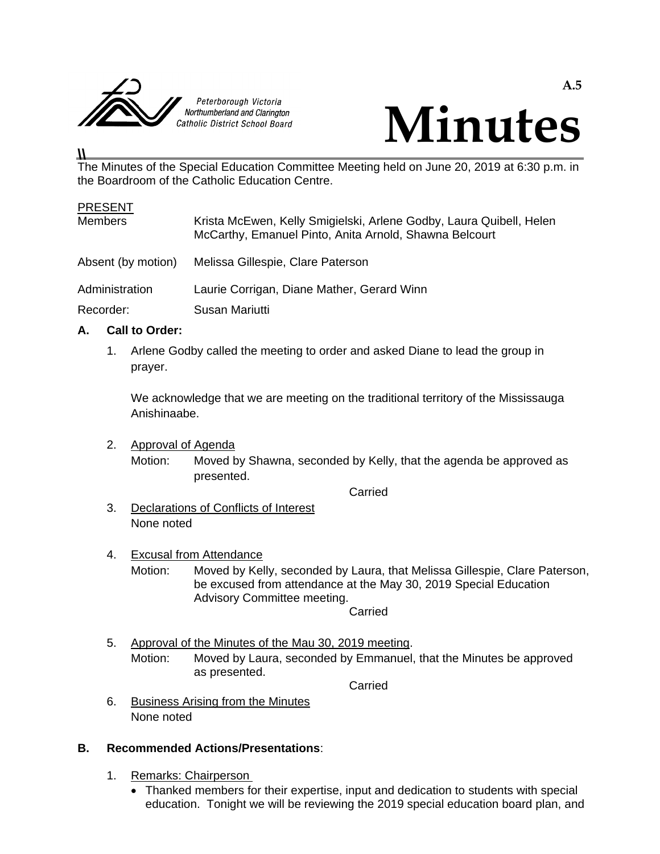



## **\\** The Minutes of the Special Education Committee Meeting held on June 20, 2019 at 6:30 p.m. in the Boardroom of the Catholic Education Centre.

| <b>PRESENT</b>     |                                                                                                                               |
|--------------------|-------------------------------------------------------------------------------------------------------------------------------|
| <b>Members</b>     | Krista McEwen, Kelly Smigielski, Arlene Godby, Laura Quibell, Helen<br>McCarthy, Emanuel Pinto, Anita Arnold, Shawna Belcourt |
| Absent (by motion) | Melissa Gillespie, Clare Paterson                                                                                             |
| Administration     | Laurie Corrigan, Diane Mather, Gerard Winn                                                                                    |
| Recorder:          | Susan Mariutti                                                                                                                |

# **A. Call to Order:**

1. Arlene Godby called the meeting to order and asked Diane to lead the group in prayer.

We acknowledge that we are meeting on the traditional territory of the Mississauga Anishinaabe.

2. Approval of Agenda Motion: Moved by Shawna, seconded by Kelly, that the agenda be approved as presented.

## Carried

3. Declarations of Conflicts of Interest None noted

# 4. Excusal from Attendance

Motion: Moved by Kelly, seconded by Laura, that Melissa Gillespie, Clare Paterson, be excused from attendance at the May 30, 2019 Special Education Advisory Committee meeting.

Carried

5. Approval of the Minutes of the Mau 30, 2019 meeting. Motion: Moved by Laura, seconded by Emmanuel, that the Minutes be approved as presented.

Carried

6. Business Arising from the Minutes None noted

# **B. Recommended Actions/Presentations**:

- 1. Remarks: Chairperson
	- Thanked members for their expertise, input and dedication to students with special education. Tonight we will be reviewing the 2019 special education board plan, and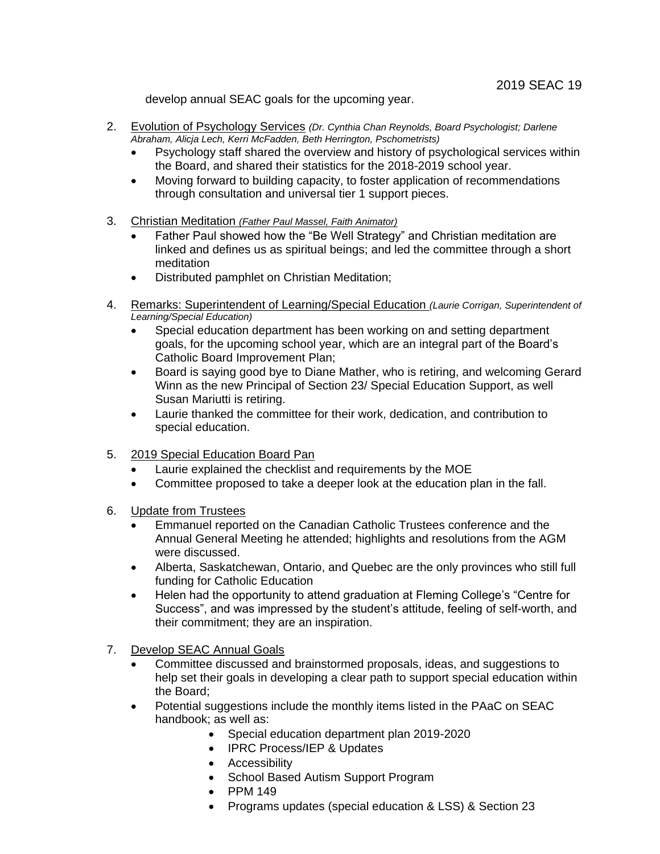develop annual SEAC goals for the upcoming year.

- 2. Evolution of Psychology Services *(Dr. Cynthia Chan Reynolds, Board Psychologist; Darlene Abraham, Alicja Lech, Kerri McFadden, Beth Herrington, Pschometrists)*
	- Psychology staff shared the overview and history of psychological services within the Board, and shared their statistics for the 2018-2019 school year.
	- Moving forward to building capacity, to foster application of recommendations through consultation and universal tier 1 support pieces.
- 3. Christian Meditation *(Father Paul Massel, Faith Animator)*
	- Father Paul showed how the "Be Well Strategy" and Christian meditation are linked and defines us as spiritual beings; and led the committee through a short meditation
	- Distributed pamphlet on Christian Meditation;
- 4. Remarks: Superintendent of Learning/Special Education *(Laurie Corrigan, Superintendent of Learning/Special Education)*
	- Special education department has been working on and setting department goals, for the upcoming school year, which are an integral part of the Board's Catholic Board Improvement Plan;
	- Board is saying good bye to Diane Mather, who is retiring, and welcoming Gerard Winn as the new Principal of Section 23/ Special Education Support, as well Susan Mariutti is retiring.
	- Laurie thanked the committee for their work, dedication, and contribution to special education.
- 5. 2019 Special Education Board Pan
	- Laurie explained the checklist and requirements by the MOE
	- Committee proposed to take a deeper look at the education plan in the fall.
- 6. Update from Trustees
	- Emmanuel reported on the Canadian Catholic Trustees conference and the Annual General Meeting he attended; highlights and resolutions from the AGM were discussed.
	- Alberta, Saskatchewan, Ontario, and Quebec are the only provinces who still full funding for Catholic Education
	- Helen had the opportunity to attend graduation at Fleming College's "Centre for Success", and was impressed by the student's attitude, feeling of self-worth, and their commitment; they are an inspiration.
- 7. Develop SEAC Annual Goals
	- Committee discussed and brainstormed proposals, ideas, and suggestions to help set their goals in developing a clear path to support special education within the Board;
	- Potential suggestions include the monthly items listed in the PAaC on SEAC handbook; as well as:
		- Special education department plan 2019-2020
		- IPRC Process/IEP & Updates
		- **•** Accessibility
		- School Based Autism Support Program
		- $\bullet$  PPM 149
		- Programs updates (special education & LSS) & Section 23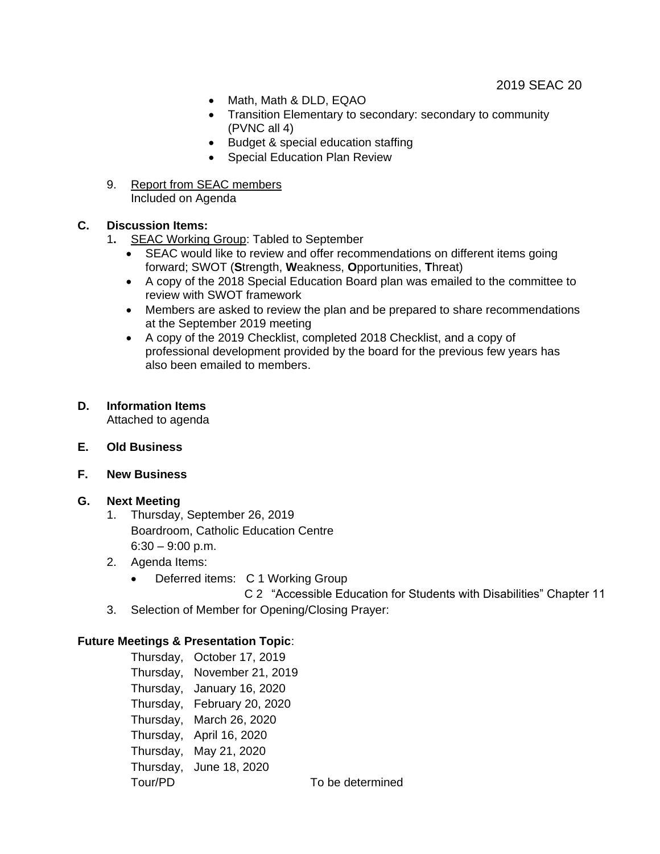- Math, Math & DLD, EQAO
- Transition Elementary to secondary: secondary to community (PVNC all 4)
- Budget & special education staffing
- Special Education Plan Review
- 9. Report from SEAC members Included on Agenda

## **C. Discussion Items:**

- 1**.** SEAC Working Group: Tabled to September
	- SEAC would like to review and offer recommendations on different items going forward; SWOT (**S**trength, **W**eakness, **O**pportunities, **T**hreat)
	- A copy of the 2018 Special Education Board plan was emailed to the committee to review with SWOT framework
	- Members are asked to review the plan and be prepared to share recommendations at the September 2019 meeting
	- A copy of the 2019 Checklist, completed 2018 Checklist, and a copy of professional development provided by the board for the previous few years has also been emailed to members.

## **D. Information Items**

Attached to agenda

- **E. Old Business**
- **F. New Business**

## **G. Next Meeting**

- 1. Thursday, September 26, 2019 Boardroom, Catholic Education Centre  $6:30 - 9:00$  p.m.
- 2. Agenda Items:
	- Deferred items: C 1 Working Group

C 2 "Accessible Education for Students with Disabilities" Chapter 11

3. Selection of Member for Opening/Closing Prayer:

## **Future Meetings & Presentation Topic**:

Thursday, October 17, 2019 Thursday, November 21, 2019 Thursday, January 16, 2020 Thursday, February 20, 2020 Thursday, March 26, 2020 Thursday, April 16, 2020 Thursday, May 21, 2020 Thursday, June 18, 2020 Tour/PD To be determined